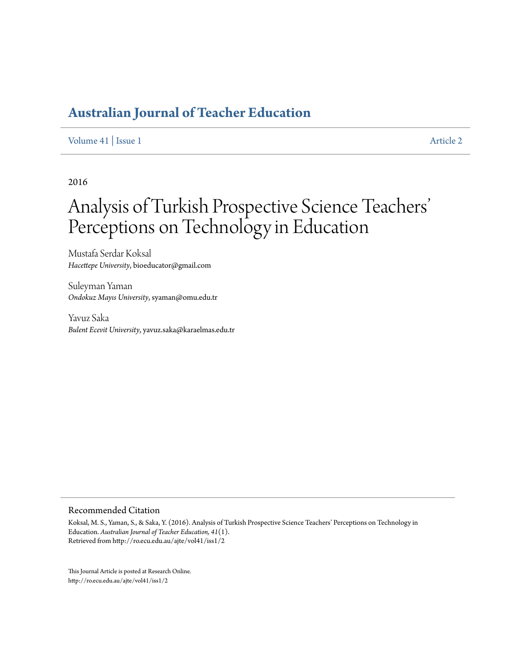# **[Australian Journal of Teacher Education](http://ro.ecu.edu.au/ajte)**

#### [Volume 41](http://ro.ecu.edu.au/ajte/vol41) | [Issue 1](http://ro.ecu.edu.au/ajte/vol41/iss1) [Article 2](http://ro.ecu.edu.au/ajte/vol41/iss1/2)

2016

# Analysis of Turkish Prospective Science Teachers ' Perceptions on Technology in Education

Mustafa Serdar Koksal *Hacettepe University*, bioeducator@gmail.com

Suleyman Yaman *Ondokuz Mayıs University*, syaman@omu.edu.tr

Yavuz Saka *Bulent Ecevit University*, yavuz.saka@karaelmas.edu.tr

#### Recommended Citation

Koksal, M. S., Yaman, S., & Saka, Y. (2016). Analysis of Turkish Prospective Science Teachers' Perceptions on Technology in Education. *Australian Journal of Teacher Education, 41*(1). Retrieved from http://ro.ecu.edu.au/ajte/vol41/iss1/2

This Journal Article is posted at Research Online. http://ro.ecu.edu.au/ajte/vol41/iss1/2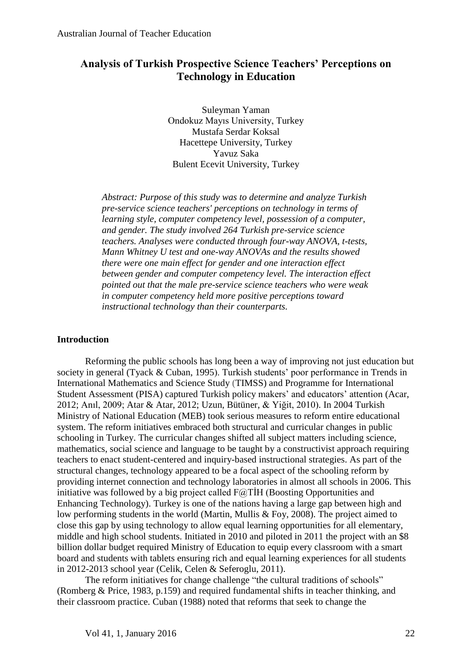## **Analysis of Turkish Prospective Science Teachers' Perceptions on Technology in Education**

Suleyman Yaman Ondokuz Mayıs University, Turkey Mustafa Serdar Koksal Hacettepe University, Turkey Yavuz Saka Bulent Ecevit University, Turkey

*Abstract: Purpose of this study was to determine and analyze Turkish pre-service science teachers' perceptions on technology in terms of learning style, computer competency level, possession of a computer, and gender. The study involved 264 Turkish pre-service science teachers. Analyses were conducted through four-way ANOVA, t-tests, Mann Whitney U test and one-way ANOVAs and the results showed there were one main effect for gender and one interaction effect between gender and computer competency level. The interaction effect pointed out that the male pre-service science teachers who were weak in computer competency held more positive perceptions toward instructional technology than their counterparts.*

## **Introduction**

Reforming the public schools has long been a way of improving not just education but society in general (Tyack & Cuban, 1995). Turkish students' poor performance in Trends in International Mathematics and Science Study (TIMSS) and Programme for International Student Assessment (PISA) captured Turkish policy makers' and educators' attention (Acar, 2012; Anıl, 2009; Atar & Atar, 2012; Uzun, Bütüner, & Yiğit, 2010). In 2004 Turkish Ministry of National Education (MEB) took serious measures to reform entire educational system. The reform initiatives embraced both structural and curricular changes in public schooling in Turkey. The curricular changes shifted all subject matters including science, mathematics, social science and language to be taught by a constructivist approach requiring teachers to enact student-centered and inquiry-based instructional strategies. As part of the structural changes, technology appeared to be a focal aspect of the schooling reform by providing internet connection and technology laboratories in almost all schools in 2006. This initiative was followed by a big project called F@TİH (Boosting Opportunities and Enhancing Technology). Turkey is one of the nations having a large gap between high and low performing students in the world (Martin, Mullis & Foy, 2008). The project aimed to close this gap by using technology to allow equal learning opportunities for all elementary, middle and high school students. Initiated in 2010 and piloted in 2011 the project with an \$8 billion dollar budget required Ministry of Education to equip every classroom with a smart board and students with tablets ensuring rich and equal learning experiences for all students in 2012-2013 school year (Celik, Celen & Seferoglu, 2011).

The reform initiatives for change challenge "the cultural traditions of schools" (Romberg & Price, 1983, p.159) and required fundamental shifts in teacher thinking, and their classroom practice. Cuban (1988) noted that reforms that seek to change the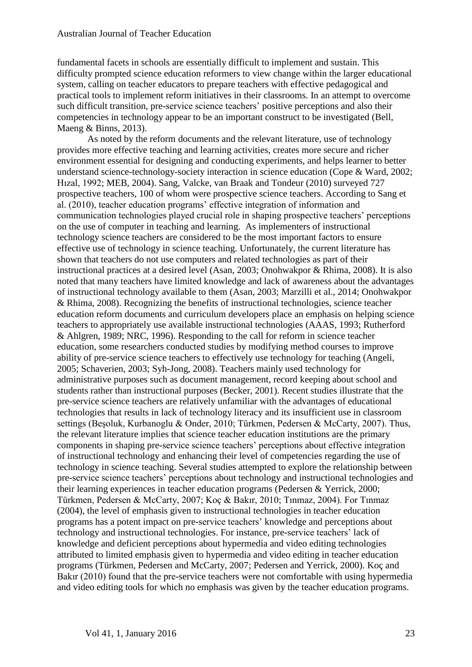fundamental facets in schools are essentially difficult to implement and sustain. This difficulty prompted science education reformers to view change within the larger educational system, calling on teacher educators to prepare teachers with effective pedagogical and practical tools to implement reform initiatives in their classrooms. In an attempt to overcome such difficult transition, pre-service science teachers' positive perceptions and also their competencies in technology appear to be an important construct to be investigated (Bell, Maeng & Binns, 2013).

As noted by the reform documents and the relevant literature, use of technology provides more effective teaching and learning activities, creates more secure and richer environment essential for designing and conducting experiments, and helps learner to better understand science-technology-society interaction in science education (Cope & Ward, 2002; Hızal, 1992; MEB, 2004). Sang, Valcke, van Braak and Tondeur (2010) surveyed 727 prospective teachers, 100 of whom were prospective science teachers. According to Sang et al. (2010), teacher education programs' effective integration of information and communication technologies played crucial role in shaping prospective teachers' perceptions on the use of computer in teaching and learning. As implementers of instructional technology science teachers are considered to be the most important factors to ensure effective use of technology in science teaching. Unfortunately, the current literature has shown that teachers do not use computers and related technologies as part of their instructional practices at a desired level (Asan, 2003; Onohwakpor & Rhima, 2008). It is also noted that many teachers have limited knowledge and lack of awareness about the advantages of instructional technology available to them (Asan, 2003; Marzilli et al., 2014; Onohwakpor & Rhima, 2008). Recognizing the benefits of instructional technologies, science teacher education reform documents and curriculum developers place an emphasis on helping science teachers to appropriately use available instructional technologies (AAAS, 1993; Rutherford & Ahlgren, 1989; NRC, 1996). Responding to the call for reform in science teacher education, some researchers conducted studies by modifying method courses to improve ability of pre-service science teachers to effectively use technology for teaching (Angeli, 2005; Schaverien, 2003; Syh-Jong, 2008). Teachers mainly used technology for administrative purposes such as document management, record keeping about school and students rather than instructional purposes (Becker, 2001). Recent studies illustrate that the pre-service science teachers are relatively unfamiliar with the advantages of educational technologies that results in lack of technology literacy and its insufficient use in classroom settings (Beşoluk, Kurbanoglu & Onder, 2010; Türkmen, Pedersen & McCarty, 2007). Thus, the relevant literature implies that science teacher education institutions are the primary components in shaping pre-service science teachers' perceptions about effective integration of instructional technology and enhancing their level of competencies regarding the use of technology in science teaching. Several studies attempted to explore the relationship between pre-service science teachers' perceptions about technology and instructional technologies and their learning experiences in teacher education programs (Pedersen & Yerrick, 2000; Türkmen, Pedersen & McCarty, 2007; Koç & Bakır, 2010; Tınmaz, 2004). For Tınmaz (2004), the level of emphasis given to instructional technologies in teacher education programs has a potent impact on pre-service teachers' knowledge and perceptions about technology and instructional technologies. For instance, pre-service teachers' lack of knowledge and deficient perceptions about hypermedia and video editing technologies attributed to limited emphasis given to hypermedia and video editing in teacher education programs (Türkmen, Pedersen and McCarty, 2007; Pedersen and Yerrick, 2000). Koç and Bakır (2010) found that the pre-service teachers were not comfortable with using hypermedia and video editing tools for which no emphasis was given by the teacher education programs.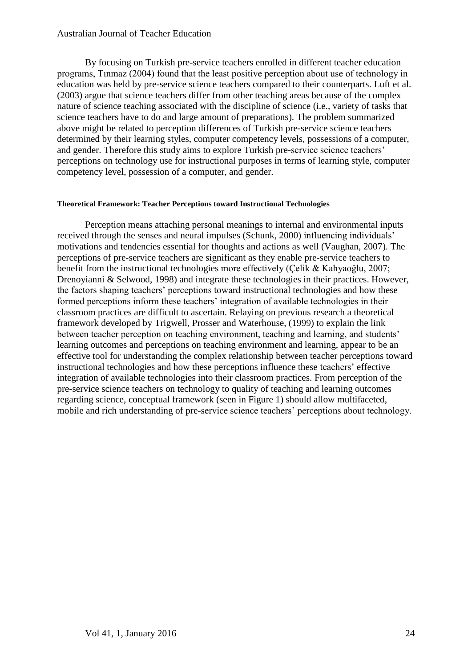## Australian Journal of Teacher Education

By focusing on Turkish pre-service teachers enrolled in different teacher education programs, Tınmaz (2004) found that the least positive perception about use of technology in education was held by pre-service science teachers compared to their counterparts. Luft et al. (2003) argue that science teachers differ from other teaching areas because of the complex nature of science teaching associated with the discipline of science (i.e., variety of tasks that science teachers have to do and large amount of preparations). The problem summarized above might be related to perception differences of Turkish pre-service science teachers determined by their learning styles, computer competency levels, possessions of a computer, and gender. Therefore this study aims to explore Turkish pre-service science teachers' perceptions on technology use for instructional purposes in terms of learning style, computer competency level, possession of a computer, and gender.

#### **Theoretical Framework: Teacher Perceptions toward Instructional Technologies**

Perception means attaching personal meanings to internal and environmental inputs received through the senses and neural impulses (Schunk, 2000) influencing individuals' motivations and tendencies essential for thoughts and actions as well (Vaughan, 2007). The perceptions of pre-service teachers are significant as they enable pre-service teachers to benefit from the instructional technologies more effectively (Çelik & Kahyaoğlu, 2007; Drenoyianni & Selwood, 1998) and integrate these technologies in their practices. However, the factors shaping teachers' perceptions toward instructional technologies and how these formed perceptions inform these teachers' integration of available technologies in their classroom practices are difficult to ascertain. Relaying on previous research a theoretical framework developed by Trigwell, Prosser and Waterhouse, (1999) to explain the link between teacher perception on teaching environment, teaching and learning, and students' learning outcomes and perceptions on teaching environment and learning, appear to be an effective tool for understanding the complex relationship between teacher perceptions toward instructional technologies and how these perceptions influence these teachers' effective integration of available technologies into their classroom practices. From perception of the pre-service science teachers on technology to quality of teaching and learning outcomes regarding science, conceptual framework (seen in Figure 1) should allow multifaceted, mobile and rich understanding of pre-service science teachers' perceptions about technology.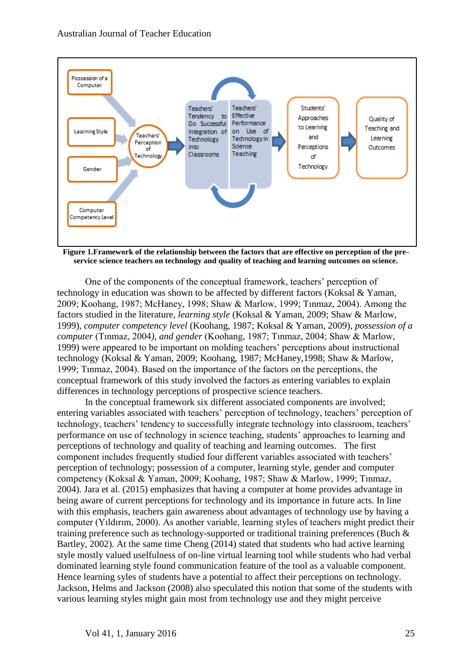

**Figure 1.Framework of the relationship between the factors that are effective on perception of the preservice science teachers on technology and quality of teaching and learning outcomes on science.**

One of the components of the conceptual framework, teachers' perception of technology in education was shown to be affected by different factors (Koksal & Yaman, 2009; Koohang, 1987; McHaney, 1998; Shaw & Marlow, 1999; Tınmaz, 2004). Among the factors studied in the literature, *learning style* (Koksal & Yaman, 2009; Shaw & Marlow, 1999)*, computer competency level* (Koohang, 1987; Koksal & Yaman, 2009), *possession of a computer* (Tınmaz, 2004*), and gender* (Koohang, 1987; Tınmaz, 2004; Shaw & Marlow, 1999) were appeared to be important on molding teachers' perceptions about instructional technology (Koksal & Yaman, 2009; Koohang, 1987; McHaney,1998; Shaw & Marlow, 1999; Tınmaz, 2004). Based on the importance of the factors on the perceptions, the conceptual framework of this study involved the factors as entering variables to explain differences in technology perceptions of prospective science teachers.

In the conceptual framework six different associated components are involved; entering variables associated with teachers' perception of technology, teachers' perception of technology, teachers' tendency to successfully integrate technology into classroom, teachers' performance on use of technology in science teaching, students' approaches to learning and perceptions of technology and quality of teaching and learning outcomes. The first component includes frequently studied four different variables associated with teachers' perception of technology; possession of a computer, learning style, gender and computer competency (Koksal & Yaman, 2009; Koohang, 1987; Shaw & Marlow, 1999; Tınmaz, 2004). Jara et al. (2015) emphasizes that having a computer at home provides advantage in being aware of current perceptions for technology and its importance in future acts. In line with this emphasis, teachers gain awareness about advantages of technology use by having a computer (Yıldırım, 2000). As another variable, learning styles of teachers might predict their training preference such as technology-supported or traditional training preferences (Buch & Bartley, 2002). At the same time Cheng (2014) stated that students who had active learning style mostly valued uselfulness of on-line virtual learning tool while students who had verbal dominated learning style found communication feature of the tool as a valuable component. Hence learning syles of students have a potential to affect their perceptions on technology. Jackson, Helms and Jackson (2008) also speculated this notion that some of the students with various learning styles might gain most from technology use and they might perceive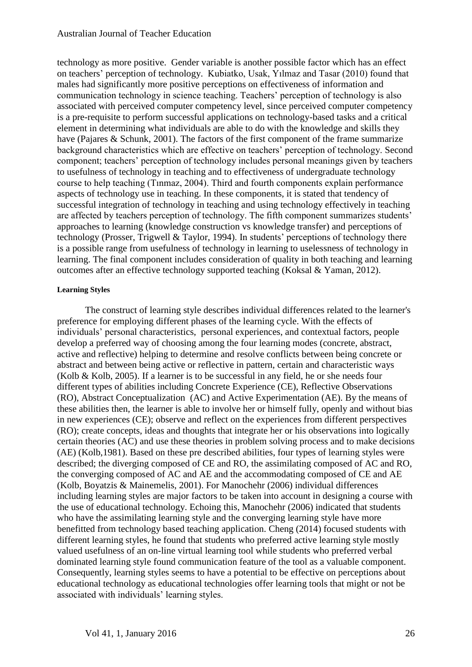technology as more positive. Gender variable is another possible factor which has an effect on teachers' perception of technology. Kubiatko, Usak, Yılmaz and Tasar (2010) found that males had significantly more positive perceptions on effectiveness of information and communication technology in science teaching. Teachers' perception of technology is also associated with perceived computer competency level, since perceived computer competency is a pre-requisite to perform successful applications on technology-based tasks and a critical element in determining what individuals are able to do with the knowledge and skills they have (Pajares & Schunk, 2001). The factors of the first component of the frame summarize background characteristics which are effective on teachers' perception of technology. Second component; teachers' perception of technology includes personal meanings given by teachers to usefulness of technology in teaching and to effectiveness of undergraduate technology course to help teaching (Tınmaz, 2004). Third and fourth components explain performance aspects of technology use in teaching. In these components, it is stated that tendency of successful integration of technology in teaching and using technology effectively in teaching are affected by teachers perception of technology. The fifth component summarizes students' approaches to learning (knowledge construction vs knowledge transfer) and perceptions of technology (Prosser, Trigwell & Taylor, 1994). In students' perceptions of technology there is a possible range from usefulness of technology in learning to uselessness of technology in learning. The final component includes consideration of quality in both teaching and learning outcomes after an effective technology supported teaching (Koksal & Yaman, 2012).

### **Learning Styles**

The construct of learning style describes individual differences related to the learner's preference for employing different phases of the learning cycle. With the effects of individuals' personal characteristics, personal experiences, and contextual factors, people develop a preferred way of choosing among the four learning modes (concrete, abstract, active and reflective) helping to determine and resolve conflicts between being concrete or abstract and between being active or [reflective](http://encyclopedia2.thefreedictionary.com/reflective) in pattern, certain and characteristic ways (Kolb & Kolb, 2005). If a learner is to be successful in any field, he or she needs four different types of abilities including Concrete Experience (CE), Reflective Observations (RO), Abstract [Conceptualization](http://www.thefreedictionary.com/conceptualization) (AC) and Active Experimentation (AE). By the means of these abilities then, the learner is able to involve her or himself fully, openly and without bias in new experiences (CE); observe and reflect on the experiences from different perspectives (RO); create concepts, ideas and thoughts that integrate her or his observations into logically certain theories (AC) and use these theories in [problem solving](http://encyclopedia2.thefreedictionary.com/Problem+solving) process and to make decisions (AE) (Kolb,1981). Based on these pre described abilities, four types of learning styles were described; the [diverging](http://www.thefreedictionary.com/Diverging) composed of CE and RO, the assimilating composed of AC and RO, the [converging](http://www.thefreedictionary.com/Converging) composed of AC and AE and the accommodating composed of CE and AE (Kolb, Boyatzis & Mainemelis, 2001). For Manochehr (2006) individual differences including learning styles are major factors to be taken into account in designing a course with the use of educational technology. Echoing this, Manochehr (2006) indicated that students who have the assimilating learning style and the converging learning style have more benefitted from technology based teaching application. Cheng (2014) focused students with different learning styles, he found that students who preferred active learning style mostly valued usefulness of an on-line virtual learning tool while students who preferred verbal dominated learning style found communication feature of the tool as a valuable component. Consequently, learning styles seems to have a potential to be effective on perceptions about educational technology as educational technologies offer learning tools that might or not be associated with individuals' learning styles.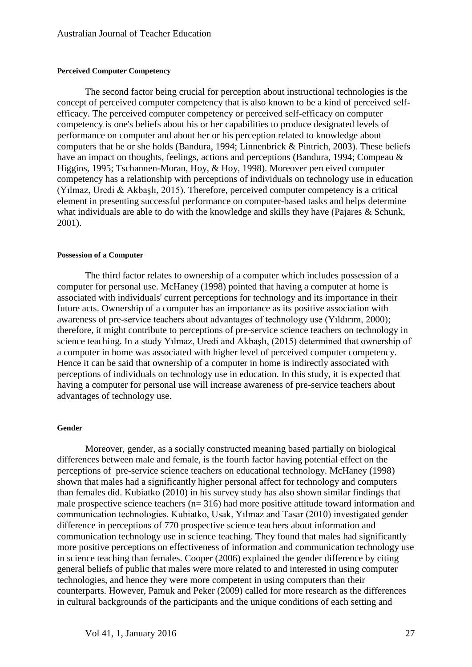#### **Perceived Computer Competency**

The second factor being crucial for perception about instructional technologies is the concept of perceived computer competency that is also known to be a kind of perceived [self](http://medical-dictionary.thefreedictionary.com/self-efficacy)[efficacy.](http://medical-dictionary.thefreedictionary.com/self-efficacy) The perceived computer competency or perceived self-efficacy on computer competency is one's beliefs about his or her capabilities to produce designated levels of performance on computer and about her or his perception related to knowledge about computers that he or she holds [\(Bandura,](http://www.thefreedictionary.com/bandura) 1994; Linnenbrick & Pintrich, 2003). These beliefs have an impact on thoughts, feelings, actions and perceptions [\(Bandura,](http://www.thefreedictionary.com/bandura) 1994; Compeau & Higgins, 1995; [Tschannen-Moran, Hoy, & Hoy, 1998\)](http://onlinelibrary.wiley.com/doi/10.1111/j.1949-8594.2003.tb18205.x/full#b18#b18). Moreover perceived computer competency has a relationship with perceptions of individuals on technology use in education (Yılmaz, Uredi & Akbaşlı, 2015). Therefore, perceived computer competency is a critical element in presenting successful performance on computer-based tasks and helps determine what individuals are able to do with the knowledge and skills they have (Pajares & Schunk, 2001).

#### **Possession of a Computer**

The third factor relates to ownership of a computer which includes possession of a computer for personal use. McHaney (1998) pointed that having a computer at home is associated with individuals' current perceptions for technology and its importance in their future acts. Ownership of a computer has an importance as its positive association with awareness of pre-service teachers about advantages of technology use (Yıldırım, 2000); therefore, it might contribute to perceptions of pre-service science teachers on technology in science teaching. In a study Yılmaz, Uredi and Akbaşlı, (2015) determined that ownership of a computer in home was associated with higher level of perceived computer competency. Hence it can be said that ownership of a computer in home is indirectly associated with perceptions of individuals on technology use in education. In this study, it is expected that having a computer for personal use will increase awareness of pre-service teachers about advantages of technology use.

#### **Gender**

Moreover, gender, as a socially constructed meaning based partially on biological differences between male and female, is the fourth factor having potential effect on the perceptions of pre-service science teachers on educational technology. McHaney (1998) shown that males had a significantly higher personal affect for technology and computers than females did. Kubiatko (2010) in his survey study has also shown similar findings that male prospective science teachers (n= 316) had more positive attitude toward information and communication technologies. Kubiatko, Usak, Yılmaz and Tasar (2010) investigated gender difference in perceptions of 770 prospective science teachers about information and communication technology use in science teaching. They found that males had significantly more positive perceptions on effectiveness of information and communication technology use in science teaching than females. Cooper (2006) explained the gender difference by citing general beliefs of public that males were more related to and interested in using computer technologies, and hence they were more competent in using computers than their counterparts. However, Pamuk and Peker (2009) called for more research as the differences in cultural backgrounds of the participants and the unique conditions of each setting and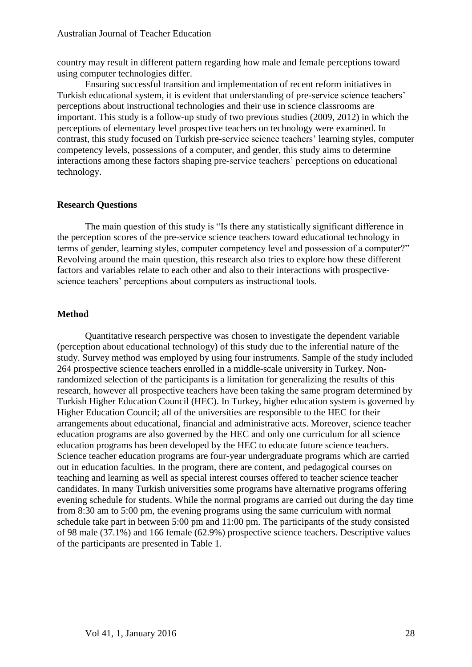country may result in different pattern regarding how male and female perceptions toward using computer technologies differ.

Ensuring successful transition and implementation of recent reform initiatives in Turkish educational system, it is evident that understanding of pre-service science teachers' perceptions about instructional technologies and their use in science classrooms are important. This study is a follow-up study of two previous studies (2009, 2012) in which the perceptions of elementary level prospective teachers on technology were examined. In contrast, this study focused on Turkish pre-service science teachers' learning styles, computer competency levels, possessions of a computer, and gender, this study aims to determine interactions among these factors shaping pre-service teachers' perceptions on educational technology.

## **Research Questions**

The main question of this study is "Is there any statistically significant difference in the perception scores of the pre-service science teachers toward educational technology in terms of gender, learning styles, computer competency level and possession of a computer?" Revolving around the main question, this research also tries to explore how these different factors and variables relate to each other and also to their interactions with prospectivescience teachers' perceptions about computers as instructional tools.

## **Method**

Quantitative research perspective was chosen to investigate the dependent variable (perception about educational technology) of this study due to the inferential nature of the study. Survey method was employed by using four instruments. Sample of the study included 264 prospective science teachers enrolled in a middle-scale university in Turkey. Nonrandomized selection of the participants is a limitation for generalizing the results of this research, however all prospective teachers have been taking the same program determined by Turkish Higher Education Council (HEC). In Turkey, higher education system is governed by Higher Education Council; all of the universities are responsible to the HEC for their arrangements about educational, financial and administrative acts. Moreover, science teacher education programs are also governed by the HEC and only one curriculum for all science education programs has been developed by the HEC to educate future science teachers. Science teacher education programs are four-year undergraduate programs which are carried out in education faculties. In the program, there are content, and pedagogical courses on teaching and learning as well as special interest courses offered to teacher science teacher candidates. In many Turkish universities some programs have alternative programs offering evening schedule for students. While the normal programs are carried out during the day time from 8:30 am to 5:00 pm, the evening programs using the same curriculum with normal schedule take part in between 5:00 pm and 11:00 pm. The participants of the study consisted of 98 male (37.1%) and 166 female (62.9%) prospective science teachers. Descriptive values of the participants are presented in Table 1.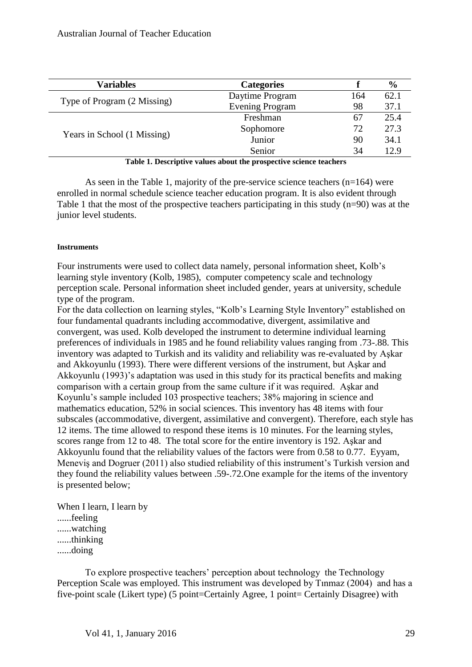| <b>Variables</b>                                                   | <b>Categories</b>      |     | $\frac{6}{9}$ |  |  |  |
|--------------------------------------------------------------------|------------------------|-----|---------------|--|--|--|
| Type of Program (2 Missing)                                        | Daytime Program        | 164 | 62.1          |  |  |  |
|                                                                    | <b>Evening Program</b> | 98  | 37.1          |  |  |  |
| Years in School (1 Missing)                                        | Freshman               | 67  | 25.4          |  |  |  |
|                                                                    | Sophomore              | 72  | 27.3          |  |  |  |
|                                                                    | Junior                 | 90  | 34.1          |  |  |  |
|                                                                    | Senior                 | 34  | 12.9          |  |  |  |
| Table 1. Descriptive values about the prospective science teachers |                        |     |               |  |  |  |

As seen in the Table 1, majority of the pre-service science teachers (n=164) were enrolled in normal schedule science teacher education program. It is also evident through Table 1 that the most of the prospective teachers participating in this study  $(n=90)$  was at the junior level students.

## **Instruments**

Four instruments were used to collect data namely, personal information sheet, Kolb's learning style inventory (Kolb, 1985), computer competency scale and technology perception scale. Personal information sheet included gender, years at university, schedule type of the program.

For the data collection on learning styles, "Kolb's Learning Style Inventory" established on four fundamental quadrants including accommodative, divergent, assimilative and convergent, was used. Kolb developed the instrument to determine individual learning preferences of individuals in 1985 and he found reliability values ranging from .73-.88. This inventory was adapted to Turkish and its validity and reliability was re-evaluated by Aşkar and Akkoyunlu (1993). There were different versions of the instrument, but Aşkar and Akkoyunlu (1993)'s adaptation was used in this study for its practical benefits and making comparison with a certain group from the same culture if it was required. Aşkar and Koyunlu's sample included 103 prospective teachers; 38% majoring in science and mathematics education, 52% in social sciences. This inventory has 48 items with four subscales (accommodative, divergent, assimilative and convergent). Therefore, each style has 12 items. The time allowed to respond these items is 10 minutes. For the learning styles, scores range from 12 to 48. The total score for the entire inventory is 192. Aşkar and Akkoyunlu found that the reliability values of the factors were from 0.58 to 0.77. Eyyam, Meneviş and Dogruer (2011) also studied reliability of this instrument's Turkish version and they found the reliability values between .59-.72.One example for the items of the inventory is presented below;

When I learn, I learn by ......feeling ......watching

......thinking

......doing

To explore prospective teachers' perception about technology the Technology Perception Scale was employed. This instrument was developed by Tınmaz (2004) and has a five-point scale (Likert type) (5 point=Certainly Agree, 1 point= Certainly Disagree) with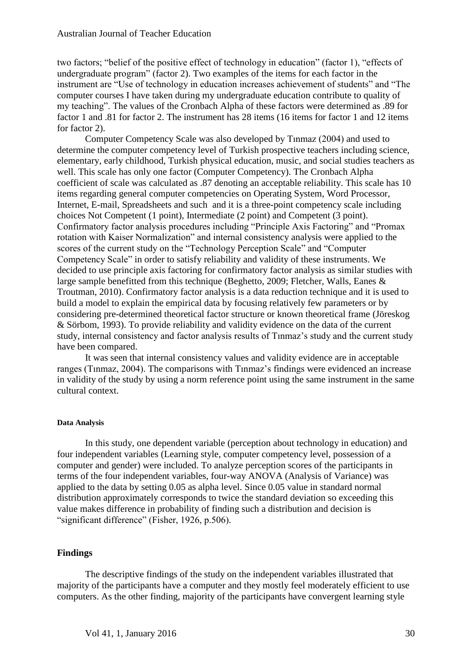two factors; "belief of the positive effect of technology in education" (factor 1), "effects of undergraduate program" (factor 2). Two examples of the items for each factor in the instrument are "Use of technology in education increases achievement of students" and "The computer courses I have taken during my undergraduate education contribute to quality of my teaching". The values of the Cronbach Alpha of these factors were determined as .89 for factor 1 and .81 for factor 2. The instrument has 28 items (16 items for factor 1 and 12 items for factor 2).

Computer Competency Scale was also developed by Tınmaz (2004) and used to determine the computer competency level of Turkish prospective teachers including science, elementary, early childhood, Turkish physical education, music, and social studies teachers as well. This scale has only one factor (Computer Competency). The Cronbach Alpha coefficient of scale was calculated as .87 denoting an acceptable reliability. This scale has 10 items regarding general computer competencies on Operating System, Word Processor, Internet, E-mail, Spreadsheets and such and it is a three-point competency scale including choices Not Competent (1 point), Intermediate (2 point) and Competent (3 point). Confirmatory factor analysis procedures including "Principle Axis Factoring" and "Promax rotation with Kaiser Normalization" and internal consistency analysis were applied to the scores of the current study on the "Technology Perception Scale" and "Computer Competency Scale" in order to satisfy reliability and validity of these instruments. We decided to use principle axis factoring for confirmatory factor analysis as similar studies with large sample benefitted from this technique (Beghetto, 2009; Fletcher, Walls, Eanes & Troutman, 2010). Confirmatory factor analysis is a data reduction technique and it is used to build a model to explain the empirical data by focusing relatively few parameters or by considering pre-determined theoretical factor structure or known theoretical frame (Jöreskog & Sörbom, 1993). To provide reliability and validity evidence on the data of the current study, internal consistency and factor analysis results of Tınmaz's study and the current study have been compared.

It was seen that internal consistency values and validity evidence are in acceptable ranges (Tınmaz, 2004). The comparisons with Tınmaz's findings were evidenced an increase in validity of the study by using a norm reference point using the same instrument in the same cultural context.

#### **Data Analysis**

In this study, one dependent variable (perception about technology in education) and four independent variables (Learning style, computer competency level, possession of a computer and gender) were included. To analyze perception scores of the participants in terms of the four independent variables, four-way ANOVA (Analysis of Variance) was applied to the data by setting 0.05 as alpha level. Since 0.05 value in standard normal distribution approximately corresponds to twice the standard deviation so exceeding this value makes difference in probability of finding such a distribution and decision is "significant difference" (Fisher, 1926, p.506).

## **Findings**

The descriptive findings of the study on the independent variables illustrated that majority of the participants have a computer and they mostly feel moderately efficient to use computers. As the other finding, majority of the participants have convergent learning style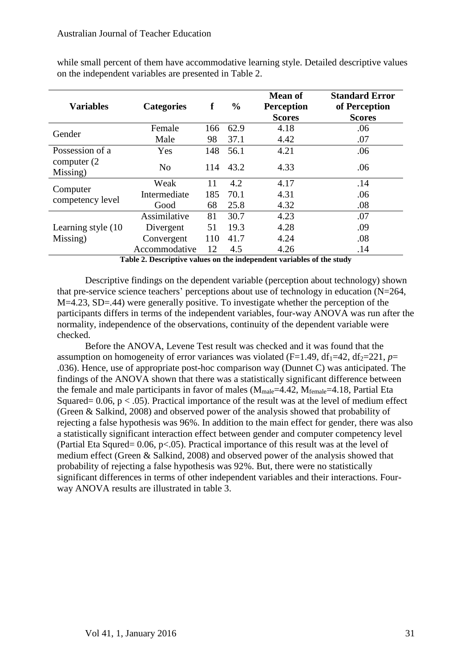while small percent of them have accommodative learning style. Detailed descriptive values on the independent variables are presented in Table 2.

| <b>Variables</b>                | <b>Categories</b> | f   | $\frac{6}{9}$ | <b>Mean of</b><br><b>Perception</b><br><b>Scores</b> | <b>Standard Error</b><br>of Perception<br><b>Scores</b> |
|---------------------------------|-------------------|-----|---------------|------------------------------------------------------|---------------------------------------------------------|
|                                 | Female            | 166 | 62.9          | 4.18                                                 | .06                                                     |
| Gender                          | Male              | 98  | 37.1          | 4.42                                                 | .07                                                     |
| Possession of a                 | Yes               | 148 | 56.1          | 4.21                                                 | .06                                                     |
| computer $(2)$<br>Missing)      | N <sub>0</sub>    | 114 | 43.2          | 4.33                                                 | .06                                                     |
| Computer<br>competency level    | Weak              | 11  | 4.2           | 4.17                                                 | .14                                                     |
|                                 | Intermediate      | 185 | 70.1          | 4.31                                                 | .06                                                     |
|                                 | Good              | 68  | 25.8          | 4.32                                                 | .08                                                     |
|                                 | Assimilative      | 81  | 30.7          | 4.23                                                 | .07                                                     |
| Learning style (10)<br>Missing) | Divergent         | 51  | 19.3          | 4.28                                                 | .09                                                     |
|                                 | Convergent        | 110 | 41.7          | 4.24                                                 | .08                                                     |
|                                 | Accommodative     | 12  | 4.5           | 4.26                                                 | .14                                                     |

**Table 2. Descriptive values on the independent variables of the study**

Descriptive findings on the dependent variable (perception about technology) shown that pre-service science teachers' perceptions about use of technology in education (N=264, M=4.23, SD=.44) were generally positive. To investigate whether the perception of the participants differs in terms of the independent variables, four-way ANOVA was run after the normality, independence of the observations, continuity of the dependent variable were checked.

Before the ANOVA, Levene Test result was checked and it was found that the assumption on homogeneity of error variances was violated (F=1.49, df<sub>1</sub>=42, df<sub>2</sub>=221, *p*= .036). Hence, use of appropriate post-hoc comparison way (Dunnet C) was anticipated. The findings of the ANOVA shown that there was a statistically significant difference between the female and male participants in favor of males  $(M_{male}=4.42, M_{female}=4.18, Partial Eta)$ Squared=  $0.06$ ,  $p < .05$ ). Practical importance of the result was at the level of medium effect (Green & Salkind, 2008) and observed power of the analysis showed that probability of rejecting a false hypothesis was 96%. In addition to the main effect for gender, there was also a statistically significant interaction effect between gender and computer competency level (Partial Eta Squred=  $0.06$ , p<.05). Practical importance of this result was at the level of medium effect (Green & Salkind, 2008) and observed power of the analysis showed that probability of rejecting a false hypothesis was 92%. But, there were no statistically significant differences in terms of other independent variables and their interactions. Fourway ANOVA results are illustrated in table 3.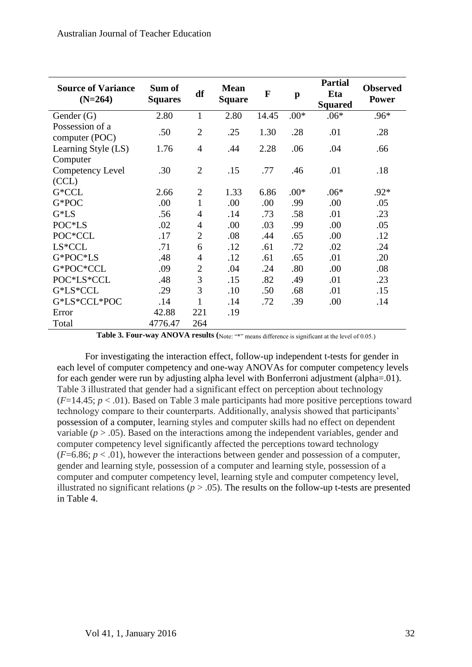| <b>Source of Variance</b><br>$(N=264)$ | Sum of<br><b>Squares</b> | df             | <b>Mean</b><br><b>Square</b> | $\mathbf F$ | $\mathbf{p}$ | <b>Partial</b><br>Eta<br><b>Squared</b> | <b>Observed</b><br><b>Power</b> |
|----------------------------------------|--------------------------|----------------|------------------------------|-------------|--------------|-----------------------------------------|---------------------------------|
| Gender $(G)$                           | 2.80                     | 1              | 2.80                         | 14.45       | $.00*$       | $.06*$                                  | $.96*$                          |
| Possession of a<br>computer (POC)      | .50                      | $\overline{2}$ | .25                          | 1.30        | .28          | .01                                     | .28                             |
| Learning Style (LS)                    | 1.76                     | $\overline{4}$ | .44                          | 2.28        | .06          | .04                                     | .66                             |
| Computer                               |                          |                |                              |             |              |                                         |                                 |
| Competency Level                       | .30                      | $\overline{2}$ | .15                          | .77         | .46          | .01                                     | .18                             |
| (CCL)                                  |                          |                |                              |             |              |                                         |                                 |
| G*CCL                                  | 2.66                     | $\overline{2}$ | 1.33                         | 6.86        | $.00*$       | $.06*$                                  | $.92*$                          |
| G*POC                                  | .00                      | $\mathbf{1}$   | .00                          | .00         | .99          | .00                                     | .05                             |
| $G^*LS$                                | .56                      | 4              | .14                          | .73         | .58          | .01                                     | .23                             |
| POC*LS                                 | .02                      | 4              | .00                          | .03         | .99          | .00                                     | .05                             |
| POC*CCL                                | .17                      | $\overline{2}$ | .08                          | .44         | .65          | .00                                     | .12                             |
| $LS*CCL$                               | .71                      | 6              | .12                          | .61         | .72          | .02                                     | .24                             |
| G*POC*LS                               | .48                      | $\overline{4}$ | .12                          | .61         | .65          | .01                                     | .20                             |
| G*POC*CCL                              | .09                      | $\overline{2}$ | .04                          | .24         | .80          | .00                                     | .08                             |
| POC*LS*CCL                             | .48                      | 3              | .15                          | .82         | .49          | .01                                     | .23                             |
| G*LS*CCL                               | .29                      | 3              | .10                          | .50         | .68          | .01                                     | .15                             |
| G*LS*CCL*POC                           | .14                      | $\mathbf{1}$   | .14                          | .72         | .39          | .00                                     | .14                             |
| Error                                  | 42.88                    | 221            | .19                          |             |              |                                         |                                 |
| Total                                  | 4776.47                  | 264            |                              |             |              |                                         |                                 |

Table 3. Four-way ANOVA results (Note: "\*" means difference is significant at the level of 0.05.)

For investigating the interaction effect, follow-up independent t-tests for gender in each level of computer competency and one-way ANOVAs for computer competency levels for each gender were run by adjusting alpha level with Bonferroni adjustment (alpha=.01). Table 3 illustrated that gender had a significant effect on perception about technology  $(F=14.45; p < .01)$ . Based on Table 3 male participants had more positive perceptions toward technology compare to their counterparts. Additionally, analysis showed that participants' possession of a computer, learning styles and computer skills had no effect on dependent variable  $(p > .05)$ . Based on the interactions among the independent variables, gender and computer competency level significantly affected the perceptions toward technology  $(F=6.86; p < .01)$ , however the interactions between gender and possession of a computer, gender and learning style, possession of a computer and learning style, possession of a computer and computer competency level, learning style and computer competency level, illustrated no significant relations ( $p > .05$ ). The results on the follow-up t-tests are presented in Table 4.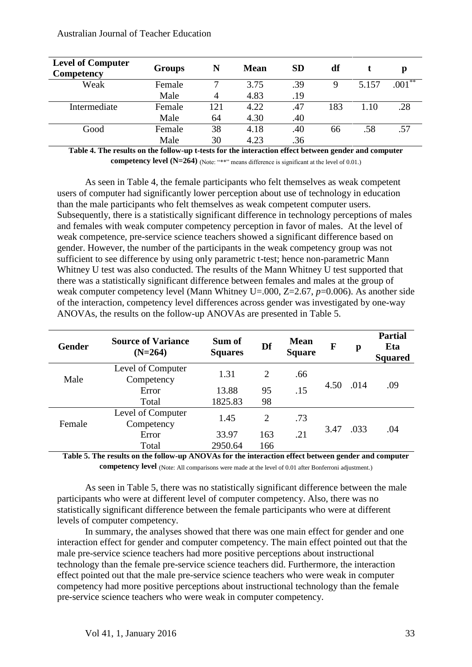| <b>Level of Computer</b><br>Competency | Groups | N              | <b>Mean</b> | <b>SD</b> | df  |       |          |
|----------------------------------------|--------|----------------|-------------|-----------|-----|-------|----------|
| Weak                                   | Female |                | 3.75        | .39       | 9   | 5.157 | $.001**$ |
|                                        | Male   | $\overline{4}$ | 4.83        | .19       |     |       |          |
| Intermediate                           | Female | 121            | 4.22        | .47       | 183 | 1.10  | .28      |
|                                        | Male   | 64             | 4.30        | .40       |     |       |          |
| Good                                   | Female | 38             | 4.18        | .40       | 66  | .58   | .57      |
|                                        | Male   | 30             | 4.23        | .36       |     |       |          |

**Table 4. The results on the follow-up t-tests for the interaction effect between gender and computer competency level (N=264)** (Note: "\*\*" means difference is significant at the level of 0.01.)

As seen in Table 4, the female participants who felt themselves as weak competent users of computer had significantly lower perception about use of technology in education than the male participants who felt themselves as weak competent computer users. Subsequently, there is a statistically significant difference in technology perceptions of males and females with weak computer competency perception in favor of males. At the level of weak competence, pre-service science teachers showed a significant difference based on gender. However, the number of the participants in the weak competency group was not sufficient to see difference by using only parametric t-test; hence non-parametric Mann Whitney U test was also conducted. The results of the Mann Whitney U test supported that there was a statistically significant difference between females and males at the group of weak computer competency level (Mann Whitney U=.000, Z=2.67, *p*=0.006). As another side of the interaction, competency level differences across gender was investigated by one-way ANOVAs, the results on the follow-up ANOVAs are presented in Table 5.

| <b>Gender</b> | <b>Source of Variance</b><br>$(N=264)$ | Sum of<br><b>Squares</b> | Df             | <b>Mean</b><br><b>Square</b> | F            | p    | <b>Partial</b><br>Eta<br><b>Squared</b> |
|---------------|----------------------------------------|--------------------------|----------------|------------------------------|--------------|------|-----------------------------------------|
| Male          | Level of Computer<br>Competency        | 1.31                     | $\overline{2}$ | .66                          |              | .014 | .09                                     |
|               | Error                                  | 13.88                    | 95             | .15                          | 4.50         |      |                                         |
|               | Total                                  | 1825.83                  | 98             |                              |              |      |                                         |
| Female        | Level of Computer<br>Competency        | 1.45                     | $\overline{2}$ | .73                          | .033<br>3.47 |      |                                         |
|               | Error                                  | 33.97                    | 163            | .21                          |              |      | .04                                     |
|               | Total                                  | 2950.64                  | 166            |                              |              |      |                                         |

**Table 5. The results on the follow-up ANOVAs for the interaction effect between gender and computer competency level** (Note: All comparisons were made at the level of 0.01 after Bonferroni adjustment.)

As seen in Table 5, there was no statistically significant difference between the male participants who were at different level of computer competency. Also, there was no statistically significant difference between the female participants who were at different levels of computer competency.

In summary, the analyses showed that there was one main effect for gender and one interaction effect for gender and computer competency. The main effect pointed out that the male pre-service science teachers had more positive perceptions about instructional technology than the female pre-service science teachers did. Furthermore, the interaction effect pointed out that the male pre-service science teachers who were weak in computer competency had more positive perceptions about instructional technology than the female pre-service science teachers who were weak in computer competency.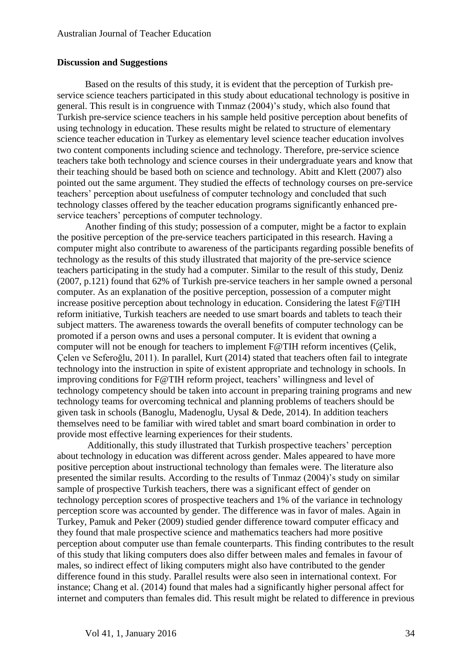## **Discussion and Suggestions**

Based on the results of this study, it is evident that the perception of Turkish preservice science teachers participated in this study about educational technology is positive in general. This result is in congruence with Tınmaz (2004)'s study, which also found that Turkish pre-service science teachers in his sample held positive perception about benefits of using technology in education. These results might be related to structure of elementary science teacher education in Turkey as elementary level science teacher education involves two content components including science and technology. Therefore, pre-service science teachers take both technology and science courses in their undergraduate years and know that their teaching should be based both on science and technology. Abitt and Klett (2007) also pointed out the same argument. They studied the effects of technology courses on pre-service teachers' perception about usefulness of computer technology and concluded that such technology classes offered by the teacher education programs significantly enhanced preservice teachers' perceptions of computer technology.

Another finding of this study; possession of a computer, might be a factor to explain the positive perception of the pre-service teachers participated in this research. Having a computer might also contribute to awareness of the participants regarding possible benefits of technology as the results of this study illustrated that majority of the pre-service science teachers participating in the study had a computer. Similar to the result of this study, Deniz (2007, p.121) found that 62% of Turkish pre-service teachers in her sample owned a personal computer. As an explanation of the positive perception, possession of a computer might increase positive perception about technology in education. Considering the latest F@TIH reform initiative, Turkish teachers are needed to use smart boards and tablets to teach their subject matters. The awareness towards the overall benefits of computer technology can be promoted if a person owns and uses a personal computer. It is evident that owning a computer will not be enough for teachers to implement F@TIH reform incentives (Çelik, Çelen ve Seferoğlu, 2011). In parallel, Kurt (2014) stated that teachers often fail to integrate technology into the instruction in spite of existent appropriate and technology in schools. In improving conditions for F@TIH reform project, teachers' willingness and level of technology competency should be taken into account in preparing training programs and new technology teams for overcoming technical and planning problems of teachers should be given task in schools (Banoglu, Madenoglu, Uysal & Dede, 2014). In addition teachers themselves need to be familiar with wired tablet and smart board combination in order to provide most effective learning experiences for their students.

Additionally, this study illustrated that Turkish prospective teachers' perception about technology in education was different across gender. Males appeared to have more positive perception about instructional technology than females were. The literature also presented the similar results. According to the results of Tınmaz (2004)'s study on similar sample of prospective Turkish teachers, there was a significant effect of gender on technology perception scores of prospective teachers and 1% of the variance in technology perception score was accounted by gender. The difference was in favor of males. Again in Turkey, Pamuk and Peker (2009) studied gender difference toward computer efficacy and they found that male prospective science and mathematics teachers had more positive perception about computer use than female counterparts. This finding contributes to the result of this study that liking computers does also differ between males and females in favour of males, so indirect effect of liking computers might also have contributed to the gender difference found in this study. Parallel results were also seen in international context. For instance; Chang et al. (2014) found that males had a significantly higher personal affect for internet and computers than females did. This result might be related to difference in previous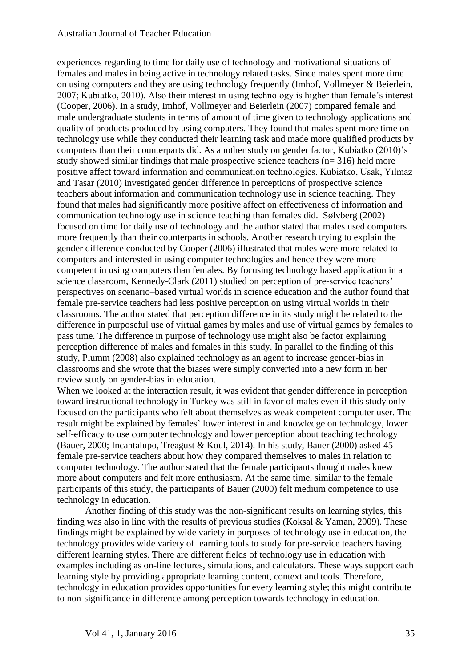## Australian Journal of Teacher Education

experiences regarding to time for daily use of technology and motivational situations of females and males in being active in technology related tasks. Since males spent more time on using computers and they are using technology frequently (Imhof, Vollmeyer & Beierlein, 2007; Kubiatko, 2010). Also their interest in using technology is higher than female's interest (Cooper, 2006). In a study, Imhof, Vollmeyer and Beierlein (2007) compared female and male undergraduate students in terms of amount of time given to technology applications and quality of products produced by using computers. They found that males spent more time on technology use while they conducted their learning task and made more qualified products by computers than their counterparts did. As another study on gender factor, Kubiatko (2010)'s study showed similar findings that male prospective science teachers (n= 316) held more positive affect toward information and communication technologies. Kubiatko, Usak, Yılmaz and Tasar (2010) investigated gender difference in perceptions of prospective science teachers about information and communication technology use in science teaching. They found that males had significantly more positive affect on effectiveness of information and communication technology use in science teaching than females did. Sølvberg (2002) focused on time for daily use of technology and the author stated that males used computers more frequently than their counterparts in schools. Another research trying to explain the gender difference conducted by Cooper (2006) illustrated that males were more related to computers and interested in using computer technologies and hence they were more competent in using computers than females. By focusing technology based application in a science classroom, Kennedy-Clark (2011) studied on perception of pre-service teachers' perspectives on scenario–based virtual worlds in science education and the author found that female pre-service teachers had less positive perception on using virtual worlds in their classrooms. The author stated that perception difference in its study might be related to the difference in purposeful use of virtual games by males and use of virtual games by females to pass time. The difference in purpose of technology use might also be factor explaining perception difference of males and females in this study. In parallel to the finding of this study, Plumm (2008) also explained technology as an agent to increase gender-bias in classrooms and she wrote that the biases were simply converted into a new form in her review study on gender-bias in education.

When we looked at the interaction result, it was evident that gender difference in perception toward instructional technology in Turkey was still in favor of males even if this study only focused on the participants who felt about themselves as weak competent computer user. The result might be explained by females' lower interest in and knowledge on technology, lower self-efficacy to use computer technology and lower perception about teaching technology (Bauer, 2000; Incantalupo, Treagust & Koul, 2014). In his study, Bauer (2000) asked 45 female pre-service teachers about how they compared themselves to males in relation to computer technology. The author stated that the female participants thought males knew more about computers and felt more enthusiasm. At the same time, similar to the female participants of this study, the participants of Bauer (2000) felt medium competence to use technology in education.

Another finding of this study was the non-significant results on learning styles, this finding was also in line with the results of previous studies (Koksal & Yaman, 2009). These findings might be explained by wide variety in purposes of technology use in education, the technology provides wide variety of learning tools to study for pre-service teachers having different learning styles. There are different fields of technology use in education with examples including as on-line lectures, simulations, and calculators. These ways support each learning style by providing appropriate learning content, context and tools. Therefore, technology in education provides opportunities for every learning style; this might contribute to non-significance in difference among perception towards technology in education.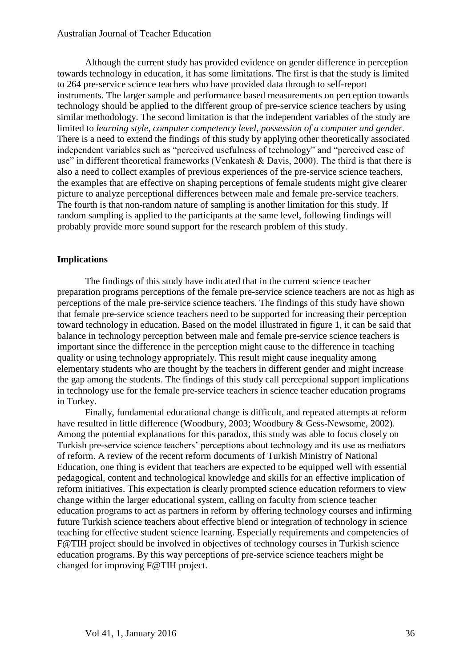Although the current study has provided evidence on gender difference in perception towards technology in education, it has some limitations. The first is that the study is limited to 264 pre-service science teachers who have provided data through to self-report instruments. The larger sample and performance based measurements on perception towards technology should be applied to the different group of pre-service science teachers by using similar methodology. The second limitation is that the independent variables of the study are limited to *learning style, computer competency level, possession of a computer and gender.*  There is a need to extend the findings of this study by applying other theoretically associated independent variables such as "perceived usefulness of technology" and "perceived ease of use" in different theoretical frameworks (Venkatesh & Davis, 2000). The third is that there is also a need to collect examples of previous experiences of the pre-service science teachers, the examples that are effective on shaping perceptions of female students might give clearer picture to analyze perceptional differences between male and female pre-service teachers. The fourth is that non-random nature of sampling is another limitation for this study. If random sampling is applied to the participants at the same level, following findings will probably provide more sound support for the research problem of this study.

## **Implications**

The findings of this study have indicated that in the current science teacher preparation programs perceptions of the female pre-service science teachers are not as high as perceptions of the male pre-service science teachers. The findings of this study have shown that female pre-service science teachers need to be supported for increasing their perception toward technology in education. Based on the model illustrated in figure 1, it can be said that balance in technology perception between male and female pre-service science teachers is important since the difference in the perception might cause to the difference in teaching quality or using technology appropriately. This result might cause inequality among elementary students who are thought by the teachers in different gender and might increase the gap among the students. The findings of this study call perceptional support implications in technology use for the female pre-service teachers in science teacher education programs in Turkey.

Finally, fundamental educational change is difficult, and repeated attempts at reform have resulted in little difference (Woodbury, 2003; Woodbury & Gess-Newsome, 2002). Among the potential explanations for this paradox, this study was able to focus closely on Turkish pre-service science teachers' perceptions about technology and its use as mediators of reform. A review of the recent reform documents of Turkish Ministry of National Education, one thing is evident that teachers are expected to be equipped well with essential pedagogical, content and technological knowledge and skills for an effective implication of reform initiatives. This expectation is clearly prompted science education reformers to view change within the larger educational system, calling on faculty from science teacher education programs to act as partners in reform by offering technology courses and infirming future Turkish science teachers about effective blend or integration of technology in science teaching for effective student science learning. Especially requirements and competencies of F@TIH project should be involved in objectives of technology courses in Turkish science education programs. By this way perceptions of pre-service science teachers might be changed for improving F@TIH project.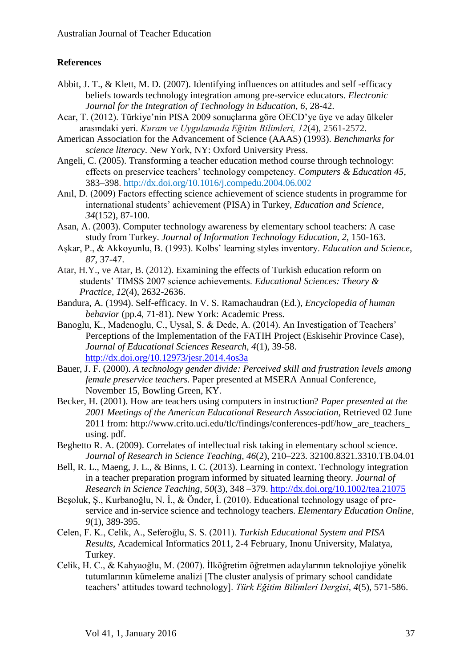## **References**

- Abbit, J. T., & Klett, M. D. (2007). Identifying influences on attitudes and self -efficacy beliefs towards technology integration among pre-service educators. *Electronic Journal for the Integration of Technology in Education, 6*, 28-42.
- Acar, T. (2012). Türkiye'nin PISA 2009 sonuçlarına göre OECD'ye üye ve aday ülkeler arasındaki yeri. *Kuram ve Uygulamada Eğitim Bilimleri, 12*(4), 2561-2572.
- American Association for the Advancement of Science (AAAS) (1993). *Benchmarks for science literacy*. New York, NY: Oxford University Press.
- Angeli, C. (2005). Transforming a teacher education method course through technology: effects on preservice teachers' technology competency. *Computers & Education 45*, 383–398. <http://dx.doi.org/10.1016/j.compedu.2004.06.002>
- Anıl, D. (2009) Factors effecting science achievement of science students in programme for international students' achievement (PISA) in Turkey, *Education and Science, 34*(152), 87-100.
- Asan, A. (2003). Computer technology awareness by elementary school teachers: A case study from Turkey. *Journal of Information Technology Education, 2*, 150-163.
- Aşkar, P., & Akkoyunlu, B. (1993). Kolbs' learning styles inventory. *Education and Science, 87*, 37-47.
- Atar, H.Y., ve Atar, B. (2012). Examining the effects of Turkish education reform on students' TIMSS 2007 science achievements. *Educational Sciences: Theory & Practice, 12*(4), 2632-2636.
- Bandura, A. (1994). Self-efficacy. In V. S. Ramachaudran (Ed.), *Encyclopedia of human behavior* (pp.4, 71-81). New York: Academic Press.
- Banoglu, K., Madenoglu, C., Uysal, S. & Dede, A. (2014). An Investigation of Teachers' Perceptions of the Implementation of the FATIH Project (Eskisehir Province Case), *Journal of Educational Sciences Research, 4*(1), 39-58. <http://dx.doi.org/10.12973/jesr.2014.4os3a>
- Bauer, J. F. (2000). *A technology gender divide: Perceived skill and frustration levels among female preservice teachers.* Paper presented at MSERA Annual Conference, November 15, Bowling Green, KY.
- Becker, H. (2001). How are teachers using computers in instruction? *Paper presented at the 2001 Meetings of the American Educational Research Association*, Retrieved 02 June 2011 from: http://www.crito.uci.edu/tlc/findings/conferences-pdf/how\_are\_teachers\_ using. pdf.
- Beghetto R. A. (2009). Correlates of intellectual risk taking in elementary school science. *Journal of Research in Science Teaching, 46*(2), 210–223. 32100.8321.3310.TB.04.01
- Bell, R. L., Maeng, J. L., & Binns, I. C. (2013). Learning in context. Technology integration in a teacher preparation program informed by situated learning theory. *Journal of Research in Science Teaching, 50*(3), 348 –379. <http://dx.doi.org/10.1002/tea.21075>
- Beşoluk, Ş., Kurbanoğlu, N. İ., & Önder, İ. (2010). Educational technology usage of preservice and in-service science and technology teachers. *Elementary Education Online*, *9*(1), 389-395.
- Celen, F. K., Celik, A., Seferoğlu, S. S. (2011). *Turkish Educational System and PISA Results,* Academical Informatics 2011, 2-4 February, Inonu University, Malatya, Turkey.
- Celik, H. C., & Kahyaoğlu, M. (2007). İlköğretim öğretmen adaylarının teknolojiye yönelik tutumlarının kümeleme analizi [The cluster analysis of primary school candidate teachers' attitudes toward technology]. *Türk Eğitim Bilimleri Dergisi*, *4*(5), 571-586.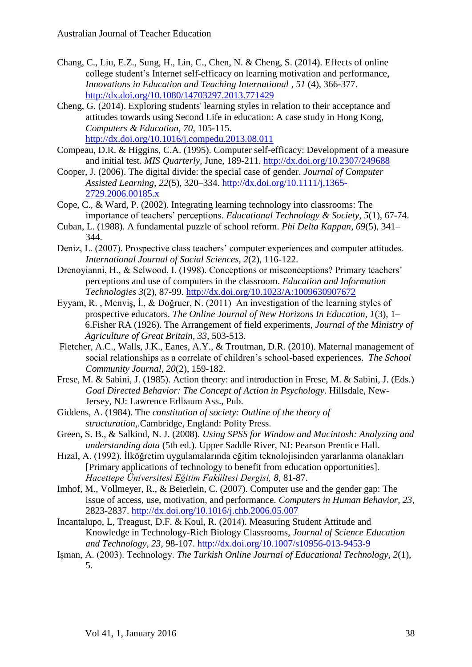- Chang, C., Liu, E.Z., Sung, H., Lin, C., Chen, N. & Cheng, S. (2014). [Effects of online](http://www.tandfonline.com/doi/abs/10.1080/14703297.2013.771429)  [college student's Internet self-efficacy on learning motivation and performance,](http://www.tandfonline.com/doi/abs/10.1080/14703297.2013.771429) *[Innovations in Education and Teaching International](http://www.tandfonline.com/toc/riie20/51/4) , 51* (4), 366-377. <http://dx.doi.org/10.1080/14703297.2013.771429>
- Cheng, G. (2014). Exploring students' learning styles in relation to their acceptance and attitudes towards using Second Life in education: A case study in Hong Kong, *Computers & Education, 70*, 105-115. <http://dx.doi.org/10.1016/j.compedu.2013.08.011>
- Compeau, D.R. & Higgins, C.A. (1995). Computer self-efficacy: Development of a measure and initial test. *MIS Quarterly*, June, 189-211. <http://dx.doi.org/10.2307/249688>
- Cooper, J. (2006). The digital divide: the special case of gender. *Journal of Computer Assisted Learning*, *22*(5), 320–334. [http://dx.doi.org/10.1111/j.1365-](http://dx.doi.org/10.1111/j.1365-2729.2006.00185.x) [2729.2006.00185.x](http://dx.doi.org/10.1111/j.1365-2729.2006.00185.x)
- Cope, C., & Ward, P. (2002). Integrating learning technology into classrooms: The importance of teachers' perceptions. *Educational Technology & Society, 5*(1), 67-74.
- Cuban, L. (1988). A fundamental puzzle of school reform. *Phi Delta Kappan*, *69*(5), 341– 344.
- Deniz, L. (2007). Prospective class teachers' computer experiences and computer attitudes. *International Journal of Social Sciences, 2*(2), 116-122.
- Drenoyianni, H., & Selwood, I. (1998). Conceptions or misconceptions? Primary teachers' perceptions and use of computers in the classroom. *Education and Information Technologies 3*(2), 87-99. <http://dx.doi.org/10.1023/A:1009630907672>
- Eyyam, R. , Menviş, İ., & Doğruer, N. (2011) An investigation of the learning styles of prospective educators. *The Online Journal of New Horizons In Education, 1*(3), 1– 6.Fisher RA (1926). The Arrangement of field experiments, *Journal of the Ministry of Agriculture of Great Britain, 33*, 503-513.
- Fletcher, A.C., Walls, J.K., Eanes, A.Y., & Troutman, D.R. (2010). Maternal management of social relationships as a correlate of children's school-based experiences. *The School Community Journal, 20*(2), 159-182.
- Frese, M. & Sabini, J. (1985). Action theory: and introduction in Frese, M. & Sabini, J. (Eds.) *Goal Directed Behavior: The Concept of Action in Psychology*. Hillsdale, New-Jersey, NJ: Lawrence Erlbaum Ass., Pub.
- Giddens, A. (1984). The *constitution of society: Outline of the theory of structuration,.*Cambridge, England: Polity Press.
- Green, S. B., & Salkind, N. J. (2008). *Using SPSS for Window and Macintosh: Analyzing and understanding data* (5th ed.). Upper Saddle River, NJ: Pearson Prentice Hall.
- Hızal, A. (1992). İlköğretim uygulamalarında eğitim teknolojisinden yararlanma olanakları [Primary applications of technology to benefit from education opportunities]. *Hacettepe Üniversitesi Eğitim Fakültesi Dergisi, 8,* 81-87.
- Imhof, M., Vollmeyer, R., & Beierlein, C. (2007). Computer use and the gender gap: The issue of access, use, motivation, and performance. *Computers in Human Behavior, 23*, 2823-2837. <http://dx.doi.org/10.1016/j.chb.2006.05.007>
- Incantalupo, L, Treagust, D.F. & Koul, R. (2014). Measuring Student Attitude and Knowledge in Technology-Rich Biology Classrooms, *Journal of Science Education and Technology, 23*, 98-107. <http://dx.doi.org/10.1007/s10956-013-9453-9>
- Işman, A. (2003). Technology. *The Turkish Online Journal of Educational Technology, 2*(1), 5.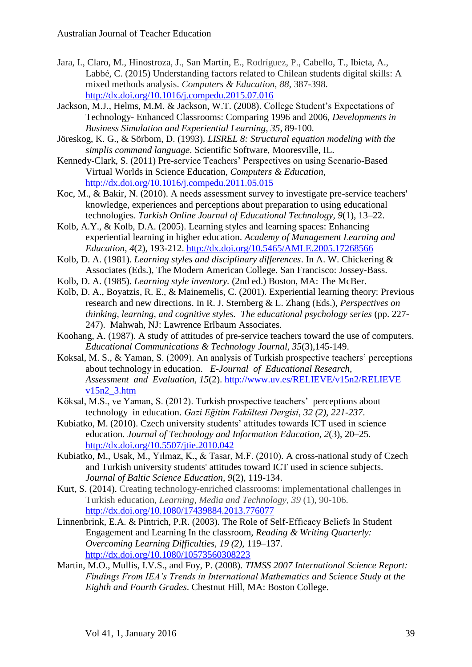- Jara, I., Claro, M., Hinostroza, J., San Martín, E., [Rodríguez, P.,](http://ciae.uchile.cl/index.php?page=view_personas_investigadores&case=ficha&id=106&langSite=es) Cabello, T., Ibieta, A., Labbé, C. (2015) Understanding factors related to Chilean students digital skills: A mixed methods analysis. *Computers & Education, 88*, 387-398. <http://dx.doi.org/10.1016/j.compedu.2015.07.016>
- Jackson, M.J., Helms, M.M. & Jackson, W.T. (2008). College Student's Expectations of Technology- Enhanced Classrooms: Comparing 1996 and 2006, *Developments in Business Simulation and Experiential Learning, 35*, 89-100.
- Jöreskog, K. G., & Sörbom, D. (1993). *LISREL 8: Structural equation modeling with the simplis command language*. Scientific Software, Mooresville, IL.
- Kennedy-Clark, S. (2011) Pre-service Teachers' Perspectives on using Scenario-Based Virtual Worlds in Science Education, *Computers & Education*, <http://dx.doi.org/10.1016/j.compedu.2011.05.015>
- Koc, M., & Bakir, N. (2010). A needs assessment survey to investigate pre-service teachers' knowledge, experiences and perceptions about preparation to using educational technologies. *Turkish Online Journal of Educational Technology, 9*(1), 13–22.
- Kolb, A.Y., & Kolb, D.A. (2005). Learning styles and learning spaces: Enhancing experiential learning in higher education. *Academy of Management Learning and Education*, *4*(2), 193-212. <http://dx.doi.org/10.5465/AMLE.2005.17268566>
- Kolb, D. A. (1981). *Learning styles and disciplinary differences*. In A. W. Chickering & Associates (Eds.), The Modern American College. San Francisco: Jossey-Bass.
- Kolb, D. A. (1985). *Learning style inventory.* (2nd ed.) Boston, MA: The McBer.
- Kolb, D. A., Boyatzis, R. E., & Mainemelis, C. (2001). Experiential learning theory: Previous research and new directions. In R. J. Sternberg & L. Zhang (Eds.), *Perspectives on thinking, learning, and cognitive styles. The educational psychology series* (pp. 227- 247). Mahwah, NJ: Lawrence Erlbaum Associates.
- Koohang, A. (1987). A study of attitudes of pre-service teachers toward the use of computers. *Educational Communications & Technology Journal, 35*(3),145-149.
- Koksal, M. S., & Yaman, S. (2009). An analysis of Turkish prospective teachers' perceptions about technology in education. *E-Journal of Educational Research, Assessment and Evaluation, 15*(2). [http://www.uv.es/RELIEVE/v15n2/RELIEVE](http://www.uv.es/RELIEVE/v15n2/RELIEVE%20v15n2_3.htm)  v $15n2$  3.htm
- Köksal, M.S., ve Yaman, S. (2012). Turkish prospective teachers' perceptions about technology in education. *Gazi Eğitim Fakültesi Dergisi*, *32 (2), 221-237*.
- Kubiatko, M. (2010). Czech university students' attitudes towards ICT used in science education. *Journal of Technology and Information Education, 2*(3), 20–25. <http://dx.doi.org/10.5507/jtie.2010.042>
- Kubiatko, M., Usak, M., Yılmaz, K., & Tasar, M.F. (2010). A cross-national study of Czech and Turkish university students' attitudes toward ICT used in science subjects. *Journal of Baltic Science Education, 9*(2), 119-134.
- Kurt, S. (2014). Creating technology-enriched classrooms: implementational challenges in Turkish education, *Learning, Media and Technology, 39* (1), 90-106. <http://dx.doi.org/10.1080/17439884.2013.776077>
- Linnenbrink, E.A. & Pintrich, P.R. (2003). The Role of Self-Effıcacy Beliefs In Student Engagement and Learning In the classroom, *Reading & Writing Quarterly: Overcoming Learning Difficulties, 19 (2),* 119–137. <http://dx.doi.org/10.1080/10573560308223>
- Martin, M.O., Mullis, I.V.S., and Foy, P. (2008). *TIMSS 2007 International Science Report: Findings From IEA's Trends in International Mathematics and Science Study at the Eighth and Fourth Grades*. Chestnut Hill, MA: Boston College.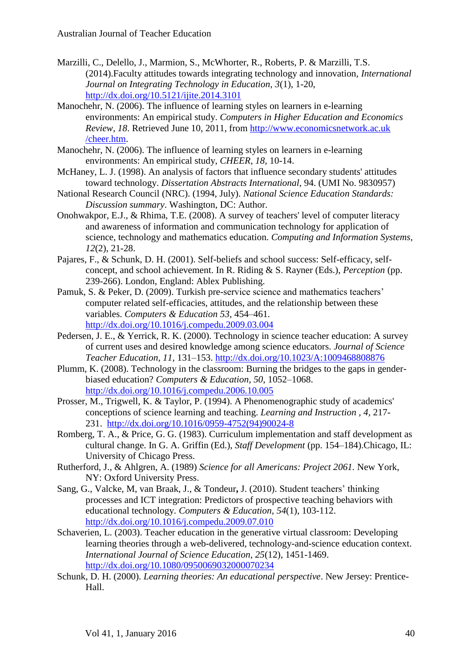- Marzilli, C., Delello, J., Marmion, S., McWhorter, R., Roberts, P. & Marzilli, T.S. (2014).Faculty attitudes towards integrating technology and innovation, *International Journal on Integrating Technology in Education, 3*(1), 1-20, <http://dx.doi.org/10.5121/ijite.2014.3101>
- Manochehr, N. (2006). The influence of learning styles on learners in e-learning environments: An empirical study. *Computers in Higher Education and Economics Review, 18*. Retrieved June 10, 2011, from http://www.economicsnetwork.ac.uk /cheer.htm.
- Manochehr, N. (2006). The influence of learning styles on learners in e-learning environments: An empirical study, *CHEER*, *18,* 10-14.
- McHaney, L. J. (1998). An analysis of factors that influence secondary students' attitudes toward technology. *Dissertation Abstracts International*, 94. (UMI No. 9830957)
- National Research Council (NRC). (1994, July). *National Science Education Standards: Discussion summary*. Washington, DC: Author.
- Onohwakpor, E.J., & Rhima, T.E. (2008). A survey of teachers' level of computer literacy and awareness of information and communication technology for application of science, technology and mathematics education. *Computing and Information Systems, 12*(2), 21-28.
- Pajares, F., & Schunk, D. H. (2001). Self-beliefs and school success: Self-efficacy, selfconcept, and school achievement. In R. Riding & S. Rayner (Eds.), *Perception* (pp. 239-266). London, England: Ablex Publishing.
- Pamuk, S. & Peker, D. (2009). Turkish pre-service science and mathematics teachers' computer related self-efficacies, attitudes, and the relationship between these variables. *Computers & Education 53*, 454–461. <http://dx.doi.org/10.1016/j.compedu.2009.03.004>
- Pedersen, J. E., & Yerrick, R. K. (2000). Technology in science teacher education: A survey of current uses and desired knowledge among science educators. *Journal of Science Teacher Education, 11,* 131–153. <http://dx.doi.org/10.1023/A:1009468808876>
- Plumm, K. (2008). Technology in the classroom: Burning the bridges to the gaps in genderbiased education? *Computers & Education, 50*, 1052–1068. <http://dx.doi.org/10.1016/j.compedu.2006.10.005>
- Prosser, M., Trigwell, K. & Taylor, P. (1994). A Phenomenographic study of academics' conceptions of science learning and teaching. *Learning and Instruction , 4,* 217- 231. [http://dx.doi.org/10.1016/0959-4752\(94\)90024-8](http://dx.doi.org/10.1016/0959-4752(94)90024-8)
- Romberg, T. A., & Price, G. G. (1983). Curriculum implementation and staff development as cultural change. In G. A. Griffin (Ed.), *Staff Development* (pp. 154–184).Chicago, IL: University of Chicago Press.
- Rutherford, J., & Ahlgren, A. (1989) *Science for all Americans: Project 2061.* New York, NY: Oxford University Press.
- Sang, G., Valcke, M, van Braak, J., & Tondeur**,** J. (2010). Student teachers' thinking processes and ICT integration: Predictors of prospective teaching behaviors with educational technology. *[Computers & Education,](http://www.sciencedirect.com/science/journal/03601315) 54*(1)*,* 103-112. <http://dx.doi.org/10.1016/j.compedu.2009.07.010>
- Schaverien, L. (2003). Teacher education in the generative virtual classroom: Developing learning theories through a web-delivered, technology-and-science education context. *International Journal of Science Education, 25*(12), 1451-1469. <http://dx.doi.org/10.1080/0950069032000070234>
- Schunk, D. H. (2000). *Learning theories: An educational perspective*. New Jersey: Prentice-Hall.